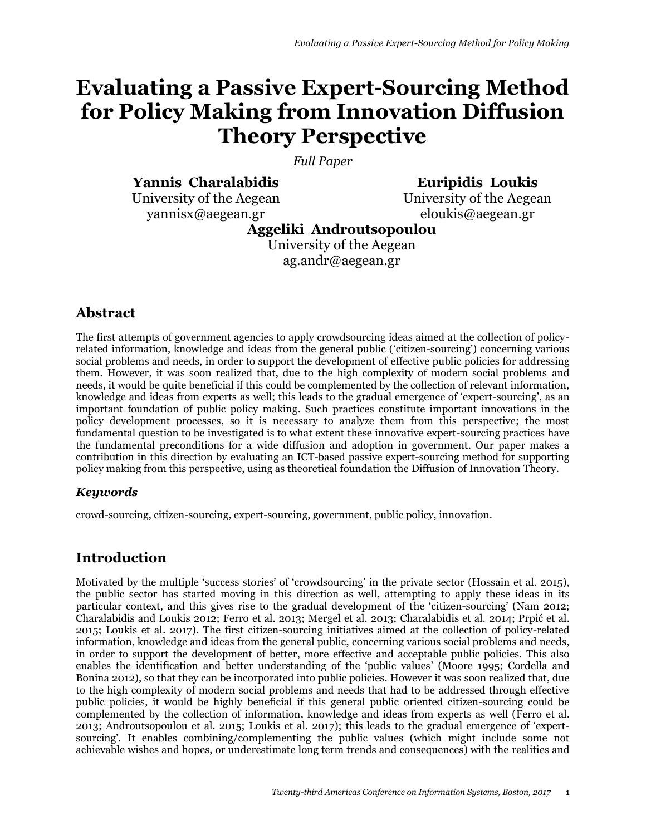# **Evaluating a Passive Expert-Sourcing Method for Policy Making from Innovation Diffusion Theory Perspective**

*Full Paper*

**Yannis Charalabidis**

University of the Aegean yannisx@aegean.gr

**Euripidis Loukis** University of the Aegean

eloukis@aegean.gr

**Aggeliki Androutsopoulou**

University of the Aegean ag.andr@aegean.gr

# **Abstract**

The first attempts of government agencies to apply crowdsourcing ideas aimed at the collection of policyrelated information, knowledge and ideas from the general public ('citizen-sourcing') concerning various social problems and needs, in order to support the development of effective public policies for addressing them. However, it was soon realized that, due to the high complexity of modern social problems and needs, it would be quite beneficial if this could be complemented by the collection of relevant information, knowledge and ideas from experts as well; this leads to the gradual emergence of 'expert-sourcing', as an important foundation of public policy making. Such practices constitute important innovations in the policy development processes, so it is necessary to analyze them from this perspective; the most fundamental question to be investigated is to what extent these innovative expert-sourcing practices have the fundamental preconditions for a wide diffusion and adoption in government. Our paper makes a contribution in this direction by evaluating an ICT-based passive expert-sourcing method for supporting policy making from this perspective, using as theoretical foundation the Diffusion of Innovation Theory.

#### *Keywords*

crowd-sourcing, citizen-sourcing, expert-sourcing, government, public policy, innovation.

# **Introduction**

Motivated by the multiple 'success stories' of 'crowdsourcing' in the private sector (Hossain et al. 2015), the public sector has started moving in this direction as well, attempting to apply these ideas in its particular context, and this gives rise to the gradual development of the 'citizen-sourcing' (Nam 2012; Charalabidis and Loukis 2012; Ferro et al. 2013; Mergel et al. 2013; Charalabidis et al. 2014; Prpić et al. 2015; Loukis et al. 2017). The first citizen-sourcing initiatives aimed at the collection of policy-related information, knowledge and ideas from the general public, concerning various social problems and needs, in order to support the development of better, more effective and acceptable public policies. This also enables the identification and better understanding of the 'public values' (Moore 1995; Cordella and Bonina 2012), so that they can be incorporated into public policies. However it was soon realized that, due to the high complexity of modern social problems and needs that had to be addressed through effective public policies, it would be highly beneficial if this general public oriented citizen-sourcing could be complemented by the collection of information, knowledge and ideas from experts as well (Ferro et al. 2013; Androutsopoulou et al. 2015; Loukis et al. 2017); this leads to the gradual emergence of 'expertsourcing'. It enables combining/complementing the public values (which might include some not achievable wishes and hopes, or underestimate long term trends and consequences) with the realities and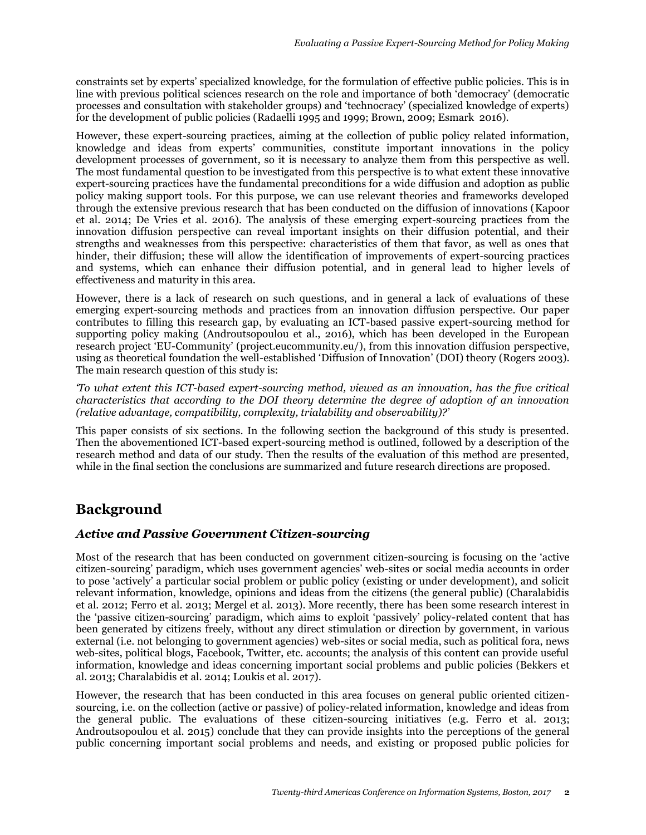constraints set by experts' specialized knowledge, for the formulation of effective public policies. This is in line with previous political sciences research on the role and importance of both 'democracy' (democratic processes and consultation with stakeholder groups) and 'technocracy' (specialized knowledge of experts) for the development of public policies (Radaelli 1995 and 1999; Brown, 2009; Esmark 2016).

However, these expert-sourcing practices, aiming at the collection of public policy related information, knowledge and ideas from experts' communities, constitute important innovations in the policy development processes of government, so it is necessary to analyze them from this perspective as well. The most fundamental question to be investigated from this perspective is to what extent these innovative expert-sourcing practices have the fundamental preconditions for a wide diffusion and adoption as public policy making support tools. For this purpose, we can use relevant theories and frameworks developed through the extensive previous research that has been conducted on the diffusion of innovations (Kapoor et al. 2014; De Vries et al. 2016). The analysis of these emerging expert-sourcing practices from the innovation diffusion perspective can reveal important insights on their diffusion potential, and their strengths and weaknesses from this perspective: characteristics of them that favor, as well as ones that hinder, their diffusion; these will allow the identification of improvements of expert-sourcing practices and systems, which can enhance their diffusion potential, and in general lead to higher levels of effectiveness and maturity in this area.

However, there is a lack of research on such questions, and in general a lack of evaluations of these emerging expert-sourcing methods and practices from an innovation diffusion perspective. Our paper contributes to filling this research gap, by evaluating an ICT-based passive expert-sourcing method for supporting policy making (Androutsopoulou et al., 2016), which has been developed in the European research project 'EU-Community' (project.eucommunity.eu/), from this innovation diffusion perspective, using as theoretical foundation the well-established 'Diffusion of Innovation' (DOI) theory (Rogers 2003). The main research question of this study is:

*'To what extent this ICT-based expert-sourcing method, viewed as an innovation, has the five critical characteristics that according to the DOI theory determine the degree of adoption of an innovation (relative advantage, compatibility, complexity, trialability and observability)?'*

This paper consists of six sections. In the following section the background of this study is presented. Then the abovementioned ICT-based expert-sourcing method is outlined, followed by a description of the research method and data of our study. Then the results of the evaluation of this method are presented, while in the final section the conclusions are summarized and future research directions are proposed.

# **Background**

#### *Active and Passive Government Citizen-sourcing*

Most of the research that has been conducted on government citizen-sourcing is focusing on the 'active citizen-sourcing' paradigm, which uses government agencies' web-sites or social media accounts in order to pose 'actively' a particular social problem or public policy (existing or under development), and solicit relevant information, knowledge, opinions and ideas from the citizens (the general public) (Charalabidis et al. 2012; Ferro et al. 2013; Mergel et al. 2013). More recently, there has been some research interest in the 'passive citizen-sourcing' paradigm, which aims to exploit 'passively' policy-related content that has been generated by citizens freely, without any direct stimulation or direction by government, in various external (i.e. not belonging to government agencies) web-sites or social media, such as political fora, news web-sites, political blogs, Facebook, Twitter, etc. accounts; the analysis of this content can provide useful information, knowledge and ideas concerning important social problems and public policies (Bekkers et al. 2013; Charalabidis et al. 2014; Loukis et al. 2017).

However, the research that has been conducted in this area focuses on general public oriented citizensourcing, i.e. on the collection (active or passive) of policy-related information, knowledge and ideas from the general public. The evaluations of these citizen-sourcing initiatives (e.g. Ferro et al. 2013; Androutsopoulou et al. 2015) conclude that they can provide insights into the perceptions of the general public concerning important social problems and needs, and existing or proposed public policies for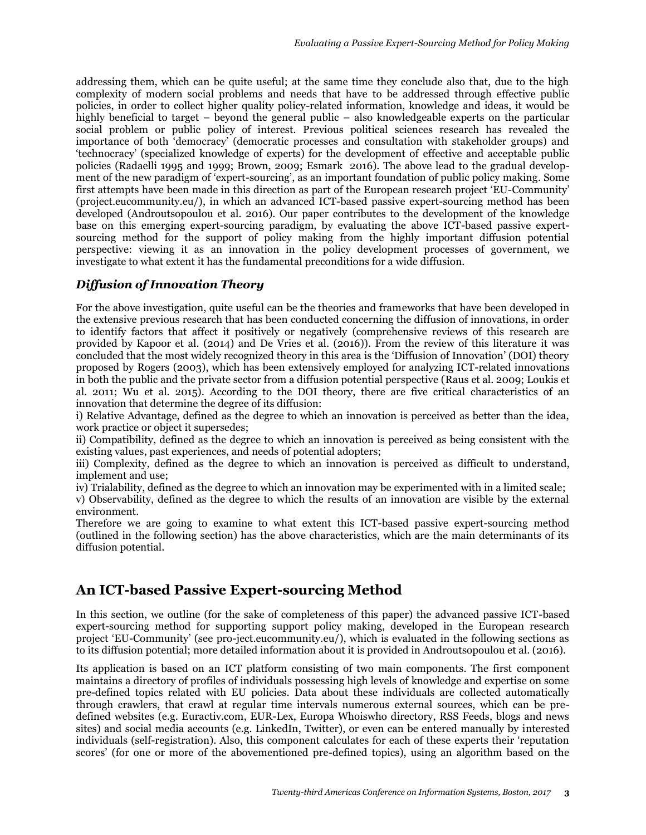addressing them, which can be quite useful; at the same time they conclude also that, due to the high complexity of modern social problems and needs that have to be addressed through effective public policies, in order to collect higher quality policy-related information, knowledge and ideas, it would be highly beneficial to target – beyond the general public – also knowledgeable experts on the particular social problem or public policy of interest. Previous political sciences research has revealed the importance of both 'democracy' (democratic processes and consultation with stakeholder groups) and 'technocracy' (specialized knowledge of experts) for the development of effective and acceptable public policies (Radaelli 1995 and 1999; Brown, 2009; Esmark 2016). The above lead to the gradual development of the new paradigm of 'expert-sourcing', as an important foundation of public policy making. Some first attempts have been made in this direction as part of the European research project 'EU-Community' (project.eucommunity.eu/), in which an advanced ICT-based passive expert-sourcing method has been developed (Androutsopoulou et al. 2016). Our paper contributes to the development of the knowledge base on this emerging expert-sourcing paradigm, by evaluating the above ICT-based passive expertsourcing method for the support of policy making from the highly important diffusion potential perspective: viewing it as an innovation in the policy development processes of government, we investigate to what extent it has the fundamental preconditions for a wide diffusion.

#### *Diffusion of Innovation Theory*

For the above investigation, quite useful can be the theories and frameworks that have been developed in the extensive previous research that has been conducted concerning the diffusion of innovations, in order to identify factors that affect it positively or negatively (comprehensive reviews of this research are provided by Kapoor et al. (2014) and De Vries et al. (2016)). From the review of this literature it was concluded that the most widely recognized theory in this area is the 'Diffusion of Innovation' (DOI) theory proposed by Rogers (2003), which has been extensively employed for analyzing ICT-related innovations in both the public and the private sector from a diffusion potential perspective (Raus et al. 2009; Loukis et al. 2011; Wu et al. 2015). According to the DOI theory, there are five critical characteristics of an innovation that determine the degree of its diffusion:

i) Relative Advantage, defined as the degree to which an innovation is perceived as better than the idea, work practice or object it supersedes;

ii) Compatibility, defined as the degree to which an innovation is perceived as being consistent with the existing values, past experiences, and needs of potential adopters;

iii) Complexity, defined as the degree to which an innovation is perceived as difficult to understand, implement and use;

iv) Trialability, defined as the degree to which an innovation may be experimented with in a limited scale; v) Observability, defined as the degree to which the results of an innovation are visible by the external environment.

Therefore we are going to examine to what extent this ICT-based passive expert-sourcing method (outlined in the following section) has the above characteristics, which are the main determinants of its diffusion potential.

#### **An ICT-based Passive Expert-sourcing Method**

In this section, we outline (for the sake of completeness of this paper) the advanced passive ICT-based expert-sourcing method for supporting support policy making, developed in the European research project 'EU-Community' (see pro-ject.eucommunity.eu/), which is evaluated in the following sections as to its diffusion potential; more detailed information about it is provided in Androutsopoulou et al. (2016).

Its application is based on an ICT platform consisting of two main components. The first component maintains a directory of profiles of individuals possessing high levels of knowledge and expertise on some pre-defined topics related with EU policies. Data about these individuals are collected automatically through crawlers, that crawl at regular time intervals numerous external sources, which can be predefined websites (e.g. Euractiv.com, EUR-Lex, Europa Whoiswho directory, RSS Feeds, blogs and news sites) and social media accounts (e.g. LinkedIn, Twitter), or even can be entered manually by interested individuals (self-registration). Also, this component calculates for each of these experts their 'reputation scores' (for one or more of the abovementioned pre-defined topics), using an algorithm based on the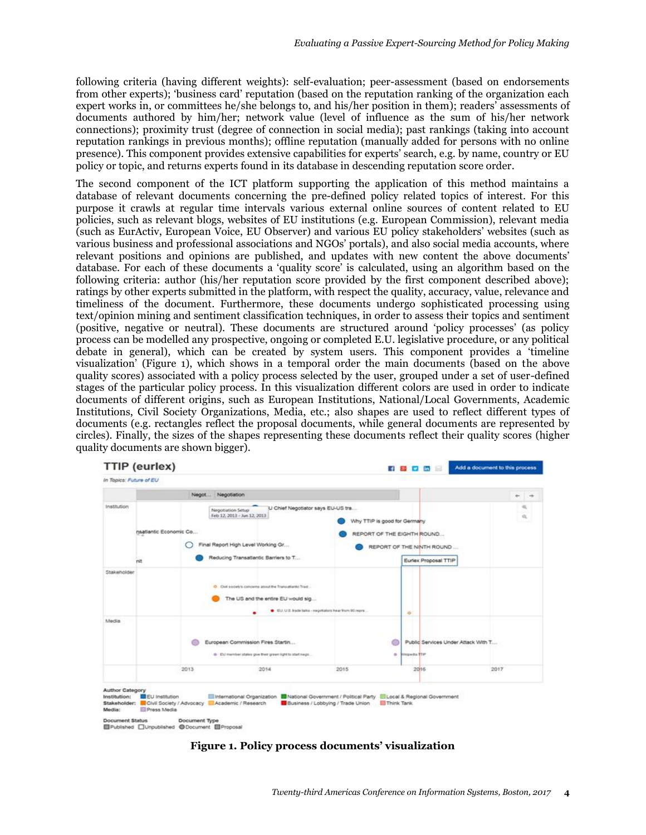following criteria (having different weights): self-evaluation; peer-assessment (based on endorsements from other experts); 'business card' reputation (based on the reputation ranking of the organization each expert works in, or committees he/she belongs to, and his/her position in them); readers' assessments of documents authored by him/her; network value (level of influence as the sum of his/her network connections); proximity trust (degree of connection in social media); past rankings (taking into account reputation rankings in previous months); offline reputation (manually added for persons with no online presence). This component provides extensive capabilities for experts' search, e.g. by name, country or EU policy or topic, and returns experts found in its database in descending reputation score order.

The second component of the ICT platform supporting the application of this method maintains a database of relevant documents concerning the pre-defined policy related topics of interest. For this purpose it crawls at regular time intervals various external online sources of content related to EU policies, such as relevant blogs, websites of EU institutions (e.g. European Commission), relevant media (such as EurActiv, European Voice, EU Observer) and various EU policy stakeholders' websites (such as various business and professional associations and NGOs' portals), and also social media accounts, where relevant positions and opinions are published, and updates with new content the above documents' database. For each of these documents a 'quality score' is calculated, using an algorithm based on the following criteria: author (his/her reputation score provided by the first component described above); ratings by other experts submitted in the platform, with respect the quality, accuracy, value, relevance and timeliness of the document. Furthermore, these documents undergo sophisticated processing using text/opinion mining and sentiment classification techniques, in order to assess their topics and sentiment (positive, negative or neutral). These documents are structured around 'policy processes' (as policy process can be modelled any prospective, ongoing or completed E.U. legislative procedure, or any political debate in general), which can be created by system users. This component provides a 'timeline visualization' (Figure 1), which shows in a temporal order the main documents (based on the above quality scores) associated with a policy process selected by the user, grouped under a set of user-defined stages of the particular policy process. In this visualization different colors are used in order to indicate documents of different origins, such as European Institutions, National/Local Governments, Academic Institutions, Civil Society Organizations, Media, etc.; also shapes are used to reflect different types of documents (e.g. rectangles reflect the proposal documents, while general documents are represented by circles). Finally, the sizes of the shapes representing these documents reflect their quality scores (higher quality documents are shown bigger).



**Figure 1. Policy process documents' visualization**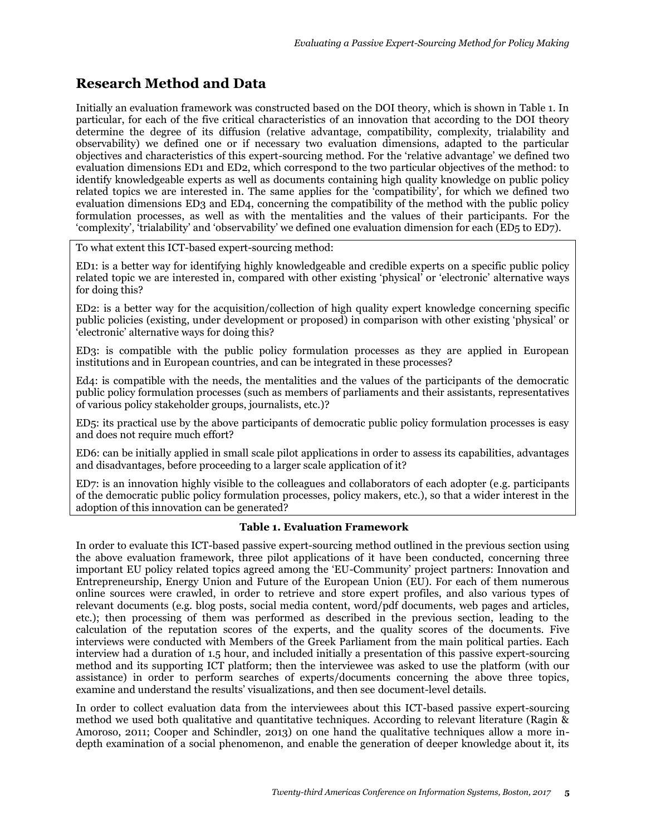## **Research Method and Data**

Initially an evaluation framework was constructed based on the DOI theory, which is shown in Table 1. In particular, for each of the five critical characteristics of an innovation that according to the DOI theory determine the degree of its diffusion (relative advantage, compatibility, complexity, trialability and observability) we defined one or if necessary two evaluation dimensions, adapted to the particular objectives and characteristics of this expert-sourcing method. For the 'relative advantage' we defined two evaluation dimensions ED1 and ED2, which correspond to the two particular objectives of the method: to identify knowledgeable experts as well as documents containing high quality knowledge on public policy related topics we are interested in. The same applies for the 'compatibility', for which we defined two evaluation dimensions ED3 and ED4, concerning the compatibility of the method with the public policy formulation processes, as well as with the mentalities and the values of their participants. For the 'complexity', 'trialability' and 'observability' we defined one evaluation dimension for each (ED5 to ED7).

To what extent this ICT-based expert-sourcing method:

ED1: is a better way for identifying highly knowledgeable and credible experts on a specific public policy related topic we are interested in, compared with other existing 'physical' or 'electronic' alternative ways for doing this?

ED2: is a better way for the acquisition/collection of high quality expert knowledge concerning specific public policies (existing, under development or proposed) in comparison with other existing 'physical' or 'electronic' alternative ways for doing this?

ED3: is compatible with the public policy formulation processes as they are applied in European institutions and in European countries, and can be integrated in these processes?

Ed4: is compatible with the needs, the mentalities and the values of the participants of the democratic public policy formulation processes (such as members of parliaments and their assistants, representatives of various policy stakeholder groups, journalists, etc.)?

ED5: its practical use by the above participants of democratic public policy formulation processes is easy and does not require much effort?

ED6: can be initially applied in small scale pilot applications in order to assess its capabilities, advantages and disadvantages, before proceeding to a larger scale application of it?

ED7: is an innovation highly visible to the colleagues and collaborators of each adopter (e.g. participants of the democratic public policy formulation processes, policy makers, etc.), so that a wider interest in the adoption of this innovation can be generated?

#### **Table 1. Evaluation Framework**

In order to evaluate this ICT-based passive expert-sourcing method outlined in the previous section using the above evaluation framework, three pilot applications of it have been conducted, concerning three important EU policy related topics agreed among the 'EU-Community' project partners: Innovation and Entrepreneurship, Energy Union and Future of the European Union (EU). For each of them numerous online sources were crawled, in order to retrieve and store expert profiles, and also various types of relevant documents (e.g. blog posts, social media content, word/pdf documents, web pages and articles, etc.); then processing of them was performed as described in the previous section, leading to the calculation of the reputation scores of the experts, and the quality scores of the documents. Five interviews were conducted with Members of the Greek Parliament from the main political parties. Each interview had a duration of 1.5 hour, and included initially a presentation of this passive expert-sourcing method and its supporting ICT platform; then the interviewee was asked to use the platform (with our assistance) in order to perform searches of experts/documents concerning the above three topics, examine and understand the results' visualizations, and then see document-level details.

In order to collect evaluation data from the interviewees about this ICT-based passive expert-sourcing method we used both qualitative and quantitative techniques. According to relevant literature (Ragin & Amoroso, 2011; Cooper and Schindler, 2013) on one hand the qualitative techniques allow a more indepth examination of a social phenomenon, and enable the generation of deeper knowledge about it, its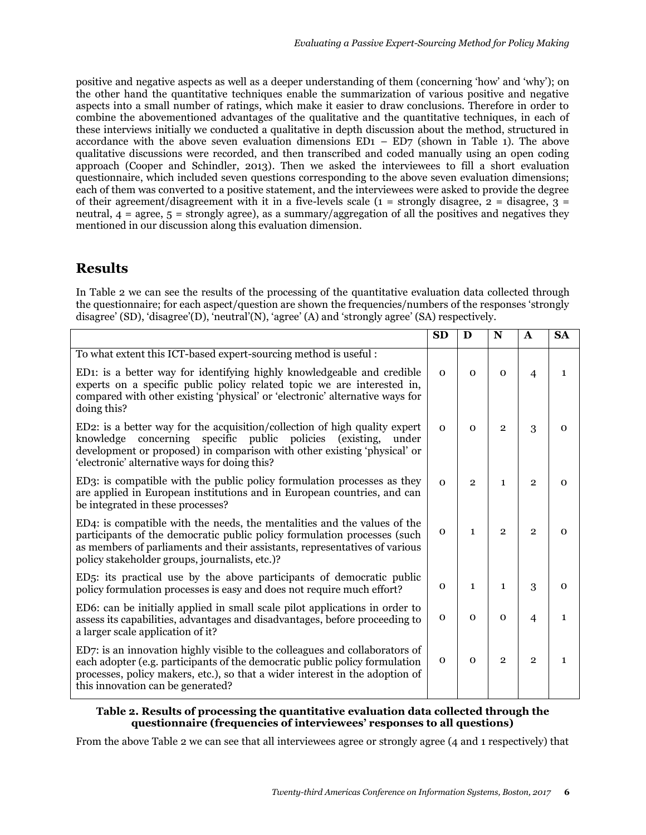positive and negative aspects as well as a deeper understanding of them (concerning 'how' and 'why'); on the other hand the quantitative techniques enable the summarization of various positive and negative aspects into a small number of ratings, which make it easier to draw conclusions. Therefore in order to combine the abovementioned advantages of the qualitative and the quantitative techniques, in each of these interviews initially we conducted a qualitative in depth discussion about the method, structured in accordance with the above seven evaluation dimensions  $ED1 - ED7$  (shown in Table 1). The above qualitative discussions were recorded, and then transcribed and coded manually using an open coding approach (Cooper and Schindler, 2013). Then we asked the interviewees to fill a short evaluation questionnaire, which included seven questions corresponding to the above seven evaluation dimensions; each of them was converted to a positive statement, and the interviewees were asked to provide the degree of their agreement/disagreement with it in a five-levels scale ( $1 =$  strongly disagree,  $2 =$  disagree,  $3 =$ neutral,  $4 = \text{agree}, 5 = \text{strongly agree}$ , as a summary/aggregation of all the positives and negatives they mentioned in our discussion along this evaluation dimension.

## **Results**

In Table 2 we can see the results of the processing of the quantitative evaluation data collected through the questionnaire; for each aspect/question are shown the frequencies/numbers of the responses 'strongly disagree' (SD), 'disagree'(D), 'neutral'(N), 'agree' (A) and 'strongly agree' (SA) respectively.

|                                                                                                                                                                                                                                                                                      | <b>SD</b>    | D              | N              | $\mathbf{A}$   | <b>SA</b>    |
|--------------------------------------------------------------------------------------------------------------------------------------------------------------------------------------------------------------------------------------------------------------------------------------|--------------|----------------|----------------|----------------|--------------|
| To what extent this ICT-based expert-sourcing method is useful:                                                                                                                                                                                                                      |              |                |                |                |              |
| ED1: is a better way for identifying highly knowledgeable and credible<br>experts on a specific public policy related topic we are interested in,<br>compared with other existing 'physical' or 'electronic' alternative ways for<br>doing this?                                     | $\Omega$     | $\Omega$       | $\Omega$       | $\overline{4}$ | 1            |
| ED2: is a better way for the acquisition/collection of high quality expert<br>knowledge concerning specific public policies<br>(existing,<br>under<br>development or proposed) in comparison with other existing 'physical' or<br>'electronic' alternative ways for doing this?      | $\Omega$     | $\Omega$       | $\overline{2}$ | 3              | $\Omega$     |
| ED3: is compatible with the public policy formulation processes as they<br>are applied in European institutions and in European countries, and can<br>be integrated in these processes?                                                                                              | $\Omega$     | $\overline{2}$ | $\mathbf{1}$   | $\overline{2}$ | $\Omega$     |
| ED4: is compatible with the needs, the mentalities and the values of the<br>participants of the democratic public policy formulation processes (such<br>as members of parliaments and their assistants, representatives of various<br>policy stakeholder groups, journalists, etc.)? | $\mathbf{O}$ | $\mathbf{1}$   | $\overline{2}$ | $\overline{2}$ | $\Omega$     |
| ED5: its practical use by the above participants of democratic public<br>policy formulation processes is easy and does not require much effort?                                                                                                                                      | $\mathbf 0$  | $\mathbf{1}$   | $\mathbf{1}$   | 3              | $\mathbf 0$  |
| ED6: can be initially applied in small scale pilot applications in order to<br>assess its capabilities, advantages and disadvantages, before proceeding to<br>a larger scale application of it?                                                                                      | $\mathbf{O}$ | $\Omega$       | $\mathbf{O}$   | $\overline{4}$ | 1            |
| ED7: is an innovation highly visible to the colleagues and collaborators of<br>each adopter (e.g. participants of the democratic public policy formulation<br>processes, policy makers, etc.), so that a wider interest in the adoption of<br>this innovation can be generated?      | $\mathbf{0}$ | $\Omega$       | $\overline{2}$ | $\overline{2}$ | $\mathbf{1}$ |

#### **Table 2. Results of processing the quantitative evaluation data collected through the questionnaire (frequencies of interviewees' responses to all questions)**

From the above Table 2 we can see that all interviewees agree or strongly agree (4 and 1 respectively) that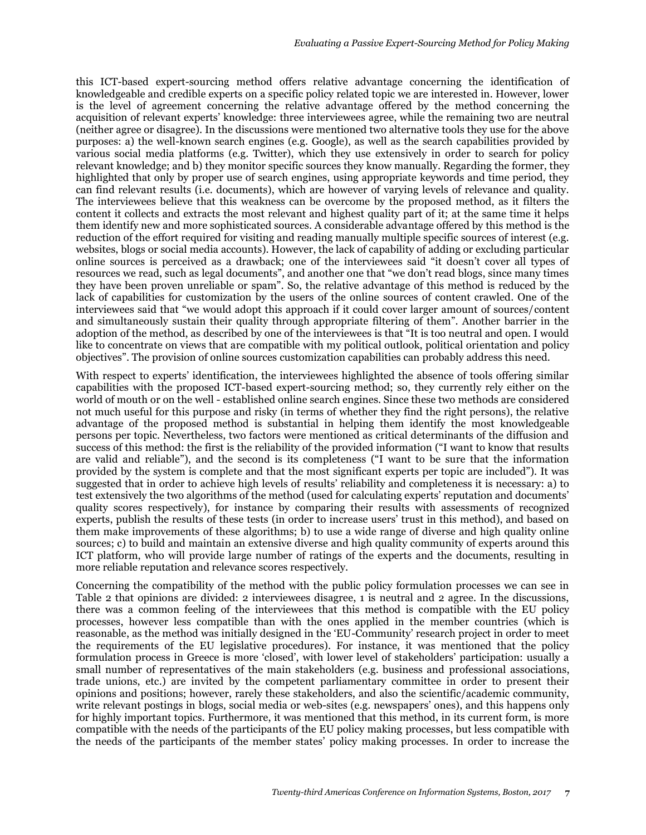this ICT-based expert-sourcing method offers relative advantage concerning the identification of knowledgeable and credible experts on a specific policy related topic we are interested in. However, lower is the level of agreement concerning the relative advantage offered by the method concerning the acquisition of relevant experts' knowledge: three interviewees agree, while the remaining two are neutral (neither agree or disagree). In the discussions were mentioned two alternative tools they use for the above purposes: a) the well-known search engines (e.g. Google), as well as the search capabilities provided by various social media platforms (e.g. Twitter), which they use extensively in order to search for policy relevant knowledge; and b) they monitor specific sources they know manually. Regarding the former, they highlighted that only by proper use of search engines, using appropriate keywords and time period, they can find relevant results (i.e. documents), which are however of varying levels of relevance and quality. The interviewees believe that this weakness can be overcome by the proposed method, as it filters the content it collects and extracts the most relevant and highest quality part of it; at the same time it helps them identify new and more sophisticated sources. A considerable advantage offered by this method is the reduction of the effort required for visiting and reading manually multiple specific sources of interest (e.g. websites, blogs or social media accounts). However, the lack of capability of adding or excluding particular online sources is perceived as a drawback; one of the interviewees said "it doesn't cover all types of resources we read, such as legal documents", and another one that "we don't read blogs, since many times they have been proven unreliable or spam". So, the relative advantage of this method is reduced by the lack of capabilities for customization by the users of the online sources of content crawled. One of the interviewees said that "we would adopt this approach if it could cover larger amount of sources/content and simultaneously sustain their quality through appropriate filtering of them". Another barrier in the adoption of the method, as described by one of the interviewees is that "It is too neutral and open. I would like to concentrate on views that are compatible with my political outlook, political orientation and policy objectives". The provision of online sources customization capabilities can probably address this need.

With respect to experts' identification, the interviewees highlighted the absence of tools offering similar capabilities with the proposed ICT-based expert-sourcing method; so, they currently rely either on the world of mouth or on the well - established online search engines. Since these two methods are considered not much useful for this purpose and risky (in terms of whether they find the right persons), the relative advantage of the proposed method is substantial in helping them identify the most knowledgeable persons per topic. Nevertheless, two factors were mentioned as critical determinants of the diffusion and success of this method: the first is the reliability of the provided information ("I want to know that results are valid and reliable"), and the second is its completeness ("I want to be sure that the information provided by the system is complete and that the most significant experts per topic are included"). It was suggested that in order to achieve high levels of results' reliability and completeness it is necessary: a) to test extensively the two algorithms of the method (used for calculating experts' reputation and documents' quality scores respectively), for instance by comparing their results with assessments of recognized experts, publish the results of these tests (in order to increase users' trust in this method), and based on them make improvements of these algorithms; b) to use a wide range of diverse and high quality online sources; c) to build and maintain an extensive diverse and high quality community of experts around this ICT platform, who will provide large number of ratings of the experts and the documents, resulting in more reliable reputation and relevance scores respectively.

Concerning the compatibility of the method with the public policy formulation processes we can see in Table 2 that opinions are divided: 2 interviewees disagree, 1 is neutral and 2 agree. In the discussions, there was a common feeling of the interviewees that this method is compatible with the EU policy processes, however less compatible than with the ones applied in the member countries (which is reasonable, as the method was initially designed in the 'EU-Community' research project in order to meet the requirements of the EU legislative procedures). For instance, it was mentioned that the policy formulation process in Greece is more 'closed', with lower level of stakeholders' participation: usually a small number of representatives of the main stakeholders (e.g. business and professional associations, trade unions, etc.) are invited by the competent parliamentary committee in order to present their opinions and positions; however, rarely these stakeholders, and also the scientific/academic community, write relevant postings in blogs, social media or web-sites (e.g. newspapers' ones), and this happens only for highly important topics. Furthermore, it was mentioned that this method, in its current form, is more compatible with the needs of the participants of the EU policy making processes, but less compatible with the needs of the participants of the member states' policy making processes. In order to increase the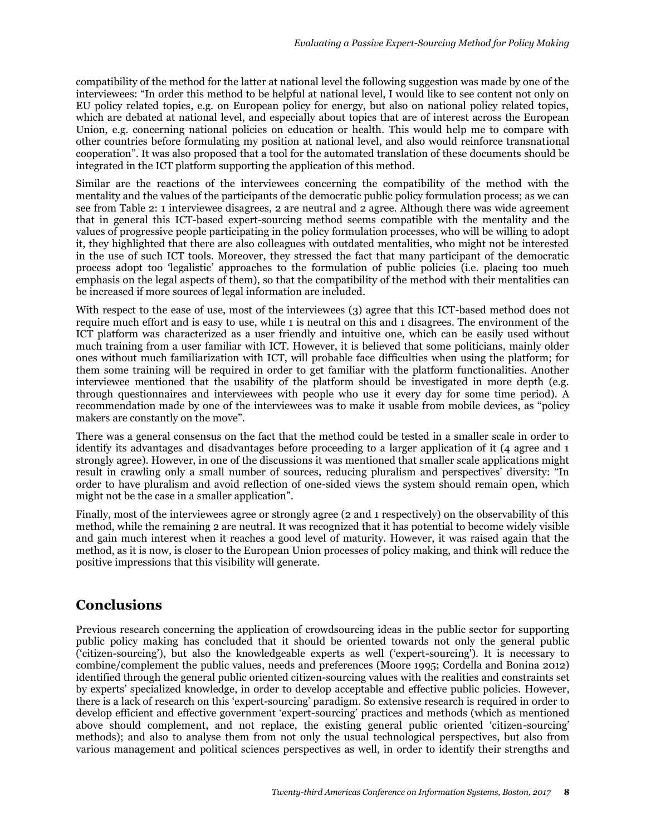compatibility of the method for the latter at national level the following suggestion was made by one of the interviewees: "In order this method to be helpful at national level, I would like to see content not only on EU policy related topics, e.g. on European policy for energy, but also on national policy related topics, which are debated at national level, and especially about topics that are of interest across the European Union, e.g. concerning national policies on education or health. This would help me to compare with other countries before formulating my position at national level, and also would reinforce transnational cooperation". It was also proposed that a tool for the automated translation of these documents should be integrated in the ICT platform supporting the application of this method.

Similar are the reactions of the interviewees concerning the compatibility of the method with the mentality and the values of the participants of the democratic public policy formulation process; as we can see from Table 2: 1 interviewee disagrees, 2 are neutral and 2 agree. Although there was wide agreement that in general this ICT-based expert-sourcing method seems compatible with the mentality and the values of progressive people participating in the policy formulation processes, who will be willing to adopt it, they highlighted that there are also colleagues with outdated mentalities, who might not be interested in the use of such ICT tools. Moreover, they stressed the fact that many participant of the democratic process adopt too 'legalistic' approaches to the formulation of public policies (i.e. placing too much emphasis on the legal aspects of them), so that the compatibility of the method with their mentalities can be increased if more sources of legal information are included.

With respect to the ease of use, most of the interviewees (3) agree that this ICT-based method does not require much effort and is easy to use, while 1 is neutral on this and 1 disagrees. The environment of the ICT platform was characterized as a user friendly and intuitive one, which can be easily used without much training from a user familiar with ICT. However, it is believed that some politicians, mainly older ones without much familiarization with ICT, will probable face difficulties when using the platform; for them some training will be required in order to get familiar with the platform functionalities. Another interviewee mentioned that the usability of the platform should be investigated in more depth (e.g. through questionnaires and interviewees with people who use it every day for some time period). A recommendation made by one of the interviewees was to make it usable from mobile devices, as "policy makers are constantly on the move".

There was a general consensus on the fact that the method could be tested in a smaller scale in order to identify its advantages and disadvantages before proceeding to a larger application of it (4 agree and 1 strongly agree). However, in one of the discussions it was mentioned that smaller scale applications might result in crawling only a small number of sources, reducing pluralism and perspectives' diversity: "In order to have pluralism and avoid reflection of one-sided views the system should remain open, which might not be the case in a smaller application".

Finally, most of the interviewees agree or strongly agree (2 and 1 respectively) on the observability of this method, while the remaining 2 are neutral. It was recognized that it has potential to become widely visible and gain much interest when it reaches a good level of maturity. However, it was raised again that the method, as it is now, is closer to the European Union processes of policy making, and think will reduce the positive impressions that this visibility will generate.

# **Conclusions**

Previous research concerning the application of crowdsourcing ideas in the public sector for supporting public policy making has concluded that it should be oriented towards not only the general public ('citizen-sourcing'), but also the knowledgeable experts as well ('expert-sourcing'). It is necessary to combine/complement the public values, needs and preferences (Moore 1995; Cordella and Bonina 2012) identified through the general public oriented citizen-sourcing values with the realities and constraints set by experts' specialized knowledge, in order to develop acceptable and effective public policies. However, there is a lack of research on this 'expert-sourcing' paradigm. So extensive research is required in order to develop efficient and effective government 'expert-sourcing' practices and methods (which as mentioned above should complement, and not replace, the existing general public oriented 'citizen-sourcing' methods); and also to analyse them from not only the usual technological perspectives, but also from various management and political sciences perspectives as well, in order to identify their strengths and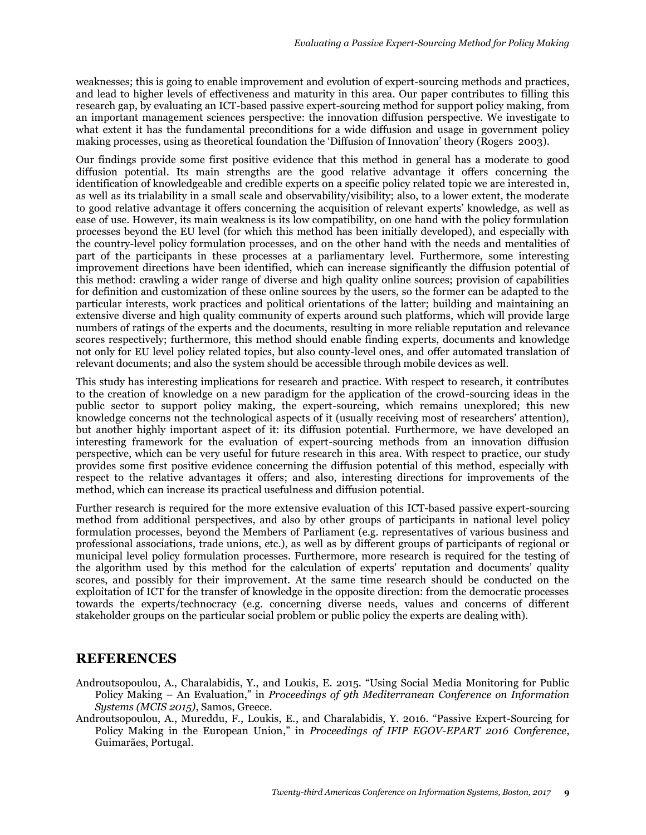weaknesses; this is going to enable improvement and evolution of expert-sourcing methods and practices, and lead to higher levels of effectiveness and maturity in this area. Our paper contributes to filling this research gap, by evaluating an ICT-based passive expert-sourcing method for support policy making, from an important management sciences perspective: the innovation diffusion perspective. We investigate to what extent it has the fundamental preconditions for a wide diffusion and usage in government policy making processes, using as theoretical foundation the 'Diffusion of Innovation' theory (Rogers 2003).

Our findings provide some first positive evidence that this method in general has a moderate to good diffusion potential. Its main strengths are the good relative advantage it offers concerning the identification of knowledgeable and credible experts on a specific policy related topic we are interested in, as well as its trialability in a small scale and observability/visibility; also, to a lower extent, the moderate to good relative advantage it offers concerning the acquisition of relevant experts' knowledge, as well as ease of use. However, its main weakness is its low compatibility, on one hand with the policy formulation processes beyond the EU level (for which this method has been initially developed), and especially with the country-level policy formulation processes, and on the other hand with the needs and mentalities of part of the participants in these processes at a parliamentary level. Furthermore, some interesting improvement directions have been identified, which can increase significantly the diffusion potential of this method: crawling a wider range of diverse and high quality online sources; provision of capabilities for definition and customization of these online sources by the users, so the former can be adapted to the particular interests, work practices and political orientations of the latter; building and maintaining an extensive diverse and high quality community of experts around such platforms, which will provide large numbers of ratings of the experts and the documents, resulting in more reliable reputation and relevance scores respectively; furthermore, this method should enable finding experts, documents and knowledge not only for EU level policy related topics, but also county-level ones, and offer automated translation of relevant documents; and also the system should be accessible through mobile devices as well.

This study has interesting implications for research and practice. With respect to research, it contributes to the creation of knowledge on a new paradigm for the application of the crowd-sourcing ideas in the public sector to support policy making, the expert-sourcing, which remains unexplored; this new knowledge concerns not the technological aspects of it (usually receiving most of researchers' attention), but another highly important aspect of it: its diffusion potential. Furthermore, we have developed an interesting framework for the evaluation of expert-sourcing methods from an innovation diffusion perspective, which can be very useful for future research in this area. With respect to practice, our study provides some first positive evidence concerning the diffusion potential of this method, especially with respect to the relative advantages it offers; and also, interesting directions for improvements of the method, which can increase its practical usefulness and diffusion potential.

Further research is required for the more extensive evaluation of this ICT-based passive expert-sourcing method from additional perspectives, and also by other groups of participants in national level policy formulation processes, beyond the Members of Parliament (e.g. representatives of various business and professional associations, trade unions, etc.), as well as by different groups of participants of regional or municipal level policy formulation processes. Furthermore, more research is required for the testing of the algorithm used by this method for the calculation of experts' reputation and documents' quality scores, and possibly for their improvement. At the same time research should be conducted on the exploitation of ICT for the transfer of knowledge in the opposite direction: from the democratic processes towards the experts/technocracy (e.g. concerning diverse needs, values and concerns of different stakeholder groups on the particular social problem or public policy the experts are dealing with).

#### **REFERENCES**

- Androutsopoulou, A., Charalabidis, Υ., and Loukis, E. 2015. "Using Social Media Monitoring for Public Policy Making – An Evaluation," in *Proceedings of 9th Mediterranean Conference on Information Systems (MCIS 2015)*, Samos, Greece.
- Androutsopoulou, A., Mureddu, F., Loukis, E., and Charalabidis, Y. 2016. "Passive Expert-Sourcing for Policy Making in the European Union," in *Proceedings of IFIP EGOV-EPART 2016 Conference*, Guimarães, Portugal.